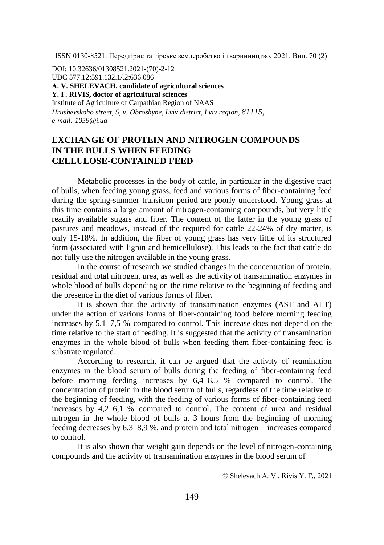DOI: 10.32636/01308521.2021-(70)-2-12 UDC 577.12:591.132.1/.2:636.086 **А. V. SHELEVACH, cаndidate of agricultural sciences Y. F. RІVІS, doctor of agricultural sciences** Institute of Agriculture of Carpathian Region of NAAS *Hrushevskoho street, 5, v. Оbroshyne, Lviv district, Lviv region, 81115, e-mail: 1059@i.ua*

# **EXCHANGE OF PROTEIN AND NITROGEN COMPOUNDS IN THE BULLS WHEN FEEDING CELLULOSE-CONTAINED FEED**

Metabolic processes in the body of cattle, in particular in the digestive tract of bulls, when feeding young grass, feed and various forms of fiber-containing feed during the spring-summer transition period are poorly understood. Young grass at this time contains a large amount of nitrogen-containing compounds, but very little readily available sugars and fiber. The content of the latter in the young grass of pastures and meadows, instead of the required for cattle 22-24% of dry matter, is only 15-18%. In addition, the fiber of young grass has very little of its structured form (associated with lignin and hemicellulose). This leads to the fact that cattle do not fully use the nitrogen available in the young grass.

In the course of research we studied changes in the concentration of protein, residual and total nitrogen, urea, as well as the activity of transamination enzymes in whole blood of bulls depending on the time relative to the beginning of feeding and the presence in the diet of various forms of fiber.

It is shown that the activity of transamination enzymes (AST and ALT) under the action of various forms of fiber-containing food before morning feeding increases by 5,1–7,5 % compared to control. This increase does not depend on the time relative to the start of feeding. It is suggested that the activity of transamination enzymes in the whole blood of bulls when feeding them fiber-containing feed is substrate regulated.

According to research, it can be argued that the activity of reamination enzymes in the blood serum of bulls during the feeding of fiber-containing feed before morning feeding increases by 6,4–8,5 % compared to control. The concentration of protein in the blood serum of bulls, regardless of the time relative to the beginning of feeding, with the feeding of various forms of fiber-containing feed increases by 4,2–6,1 % compared to control. The content of urea and residual nitrogen in the whole blood of bulls at 3 hours from the beginning of morning feeding decreases by 6,3–8,9 %, and protein and total nitrogen – increases compared to control.

It is also shown that weight gain depends on the level of nitrogen-containing compounds and the activity of transamination enzymes in the blood serum of

© Shelevach А. V., Rіvіs Y. F., 2021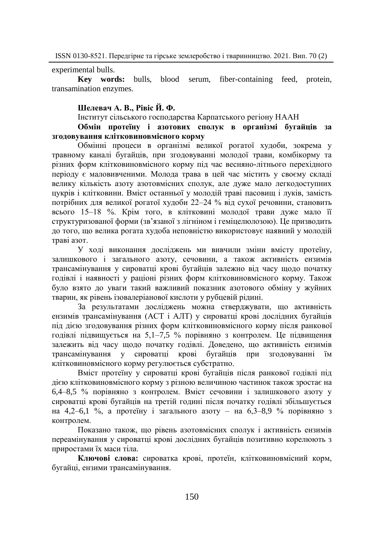experimental bulls.

**Key words:** bulls, blood serum, fiber-containing feed, protein, transamination enzymes.

### **Шелевач А. В., Рівіс Й. Ф.**

Інститут сільського господарства Карпатського регіону НААН

## **Обмін протеїну і азотових сполук в організмі бугайців за згодовування клітковиновмісного корму**

Обмінні процеси в організмі великої рогатої худоби, зокрема у травному каналі бугайців, при згодовуванні молодої трави, комбікорму та різних форм клітковиновмісного корму під час весняно-літнього перехідного періоду є маловивченими. Молода трава в цей час містить у своєму складі велику кількість азоту азотовмісних сполук, але дуже мало легкодоступних цукрів і клітковини. Вміст останньої у молодій траві пасовищ і луків, замість потрібних для великої рогатої худоби 22–24 % від сухої речовини, становить всього 15–18 %. Крім того, в клітковині молодої трави дуже мало її структуризованої форми (зв'язаної з лігніном і геміцелюлозою). Це призводить до того, що велика рогата худоба неповністю використовує наявний у молодій траві азот.

У ході виконання досліджень ми вивчили зміни вмісту протеїну, залишкового і загального азоту, сечовини, а також активність ензимів трансамінування у сироватці крові бугайців залежно від часу щодо початку годівлі і наявності у раціоні різних форм клітковиновмісного корму. Також було взято до уваги такий важливий показник азотового обміну у жуйних тварин, як рівень ізовалеріанової кислоти у рубцевій рідині.

За результатами досліджень можна стверджувати, що активність ензимів трансамінування (АСТ і АЛТ) у сироватці крові дослідних бугайців під дією згодовування різних форм клітковиновмісного корму після ранкової годівлі підвищується на 5,1–7,5 % порівняно з контролем. Це підвищення залежить від часу щодо початку годівлі. Доведено, що активність ензимів трансамінування у сироватці крові бугайців при згодовуванні їм клітковиновмісного корму регулюється субстратно.

Вміст протеїну у сироватці крові бугайців після ранкової годівлі під дією клітковиновмісного корму з різною величиною частинок також зростає на 6,4–8,5 % порівняно з контролем. Вміст сечовини і залишкового азоту у сироватці крові бугайців на третій годині після початку годівлі збільшується на 4,2–6,1 %, а протеїну і загального азоту – на 6,3–8,9 % порівняно з контролем.

Показано також, що рівень азотовмісних сполук і активність ензимів переамінування у сироватці крові дослідних бугайців позитивно корелюють з приростами їх маси тіла.

**Ключові слова:** сироватка крові, протеїн, клітковиновмісний корм, бугайці, ензими трансамінування.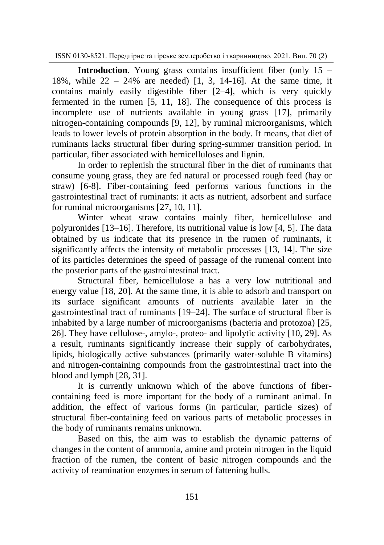**Introduction.** Young grass contains insufficient fiber (only 15 – 18%, while  $22 - 24$ % are needed) [1, 3, 14-16]. At the same time, it contains mainly easily digestible fiber [2–4], which is very quickly fermented in the rumen [5, 11, 18]. The consequence of this process is incomplete use of nutrients available in young grass [17], primarily nitrogen-containing compounds [9, 12], by ruminal microorganisms, which leads to lower levels of protein absorption in the body. It means, that diet of ruminants lacks structural fiber during spring-summer transition period. In particular, fiber associated with hemicelluloses and lignin.

In order to replenish the structural fiber in the diet of ruminants that consume young grass, they are fed natural or processed rough feed (hay or straw) [6-8]. Fiber-containing feed performs various functions in the gastrointestinal tract of ruminants: it acts as nutrient, adsorbent and surface for ruminal microorganisms [27, 10, 11].

Winter wheat straw contains mainly fiber, hemicellulose and polyuronides [13–16]. Therefore, its nutritional value is low [4, 5]. The data obtained by us indicate that its presence in the rumen of ruminants, it significantly affects the intensity of metabolic processes [13, 14]. The size of its particles determines the speed of passage of the rumenal content into the posterior parts of the gastrointestinal tract.

Structural fiber, hemicellulose a has a very low nutritional and energy value [18, 20]. At the same time, it is able to adsorb and transport on its surface significant amounts of nutrients available later in the gastrointestinal tract of ruminants [19–24]. The surface of structural fiber is inhabited by a large number of microorganisms (bacteria and protozoa) [25, 26]. They have cellulose-, amylo-, proteo- and lipolytic activity [10, 29]. As a result, ruminants significantly increase their supply of carbohydrates, lipids, biologically active substances (primarily water-soluble B vitamins) and nitrogen-containing compounds from the gastrointestinal tract into the blood and lymph [28, 31].

It is currently unknown which of the above functions of fibercontaining feed is more important for the body of a ruminant animal. In addition, the effect of various forms (in particular, particle sizes) of structural fiber-containing feed on various parts of metabolic processes in the body of ruminants remains unknown.

Based on this, the aim was to establish the dynamic patterns of changes in the content of ammonia, amine and protein nitrogen in the liquid fraction of the rumen, the content of basic nitrogen compounds and the activity of reamination enzymes in serum of fattening bulls.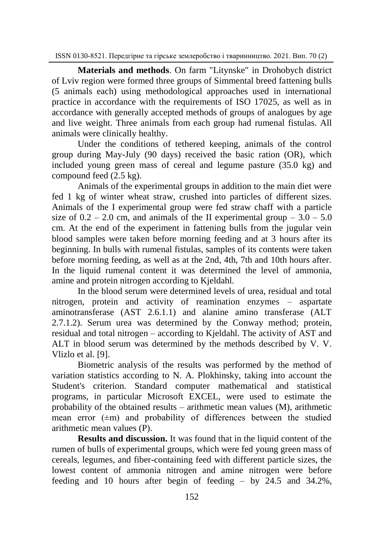**Materials and methods**. On farm "Litynske" in Drohobych district of Lviv region were formed three groups of Simmental breed fattening bulls (5 animals each) using methodological approaches used in international practice in accordance with the requirements of ISO 17025, as well as in accordance with generally accepted methods of groups of analogues by age and live weight. Three animals from each group had rumenal fistulas. All animals were clinically healthy.

Under the conditions of tethered keeping, animals of the control group during May-July (90 days) received the basic ration (OR), which included young green mass of cereal and legume pasture (35.0 kg) and compound feed (2.5 kg).

Animals of the experimental groups in addition to the main diet were fed 1 kg of winter wheat straw, crushed into particles of different sizes. Animals of the I experimental group were fed straw chaff with a particle size of  $0.2 - 2.0$  cm, and animals of the II experimental group  $-3.0 - 5.0$ cm. At the end of the experiment in fattening bulls from the jugular vein blood samples were taken before morning feeding and at 3 hours after its beginning. In bulls with rumenal fistulas, samples of its contents were taken before morning feeding, as well as at the 2nd, 4th, 7th and 10th hours after. In the liquid rumenal content it was determined the level of ammonia, amine and protein nitrogen according to Kjeldahl.

In the blood serum were determined levels of urea, residual and total nitrogen, protein and activity of reamination enzymes – aspartate aminotransferase (AST 2.6.1.1) and alanine amino transferase (ALT 2.7.1.2). Serum urea was determined by the Conway method; protein, residual and total nitrogen – according to Kjeldahl. The activity of AST and ALT in blood serum was determined by the methods described by V. V. Vlizlo et al. [9].

Biometric analysis of the results was performed by the method of variation statistics according to N. A. Plokhinsky, taking into account the Student's criterion. Standard computer mathematical and statistical programs, in particular Microsoft EXCEL, were used to estimate the probability of the obtained results – arithmetic mean values (M), arithmetic mean error  $(\pm m)$  and probability of differences between the studied arithmetic mean values (P).

**Results and discussion.** It was found that in the liquid content of the rumen of bulls of experimental groups, which were fed young green mass of cereals, legumes, and fiber-containing feed with different particle sizes, the lowest content of ammonia nitrogen and amine nitrogen were before feeding and 10 hours after begin of feeding – by 24.5 and 34.2%,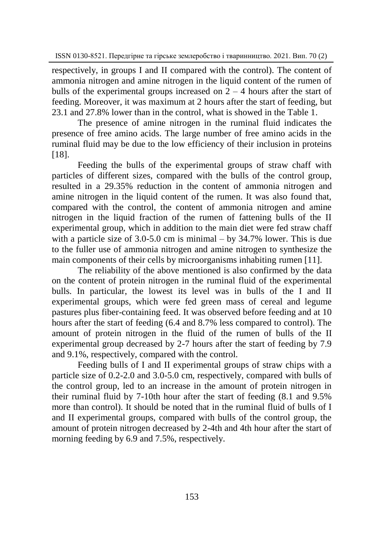respectively, in groups I and II compared with the control). The content of ammonia nitrogen and amine nitrogen in the liquid content of the rumen of bulls of the experimental groups increased on  $2 - 4$  hours after the start of feeding. Moreover, it was maximum at 2 hours after the start of feeding, but 23.1 and 27.8% lower than in the control, what is showed in the Table 1.

The presence of amine nitrogen in the ruminal fluid indicates the presence of free amino acids. The large number of free amino acids in the ruminal fluid may be due to the low efficiency of their inclusion in proteins [18].

Feeding the bulls of the experimental groups of straw chaff with particles of different sizes, compared with the bulls of the control group, resulted in a 29.35% reduction in the content of ammonia nitrogen and amine nitrogen in the liquid content of the rumen. It was also found that, compared with the control, the content of ammonia nitrogen and amine nitrogen in the liquid fraction of the rumen of fattening bulls of the II experimental group, which in addition to the main diet were fed straw chaff with a particle size of 3.0-5.0 cm is minimal – by 34.7% lower. This is due to the fuller use of ammonia nitrogen and amine nitrogen to synthesize the main components of their cells by microorganisms inhabiting rumen [11].

The reliability of the above mentioned is also confirmed by the data on the content of protein nitrogen in the ruminal fluid of the experimental bulls. In particular, the lowest its level was in bulls of the I and II experimental groups, which were fed green mass of cereal and legume pastures plus fiber-containing feed. It was observed before feeding and at 10 hours after the start of feeding (6.4 and 8.7% less compared to control). The amount of protein nitrogen in the fluid of the rumen of bulls of the II experimental group decreased by 2-7 hours after the start of feeding by 7.9 and 9.1%, respectively, compared with the control.

Feeding bulls of I and II experimental groups of straw chips with a particle size of 0.2-2.0 and 3.0-5.0 cm, respectively, compared with bulls of the control group, led to an increase in the amount of protein nitrogen in their ruminal fluid by 7-10th hour after the start of feeding (8.1 and 9.5% more than control). It should be noted that in the ruminal fluid of bulls of I and II experimental groups, compared with bulls of the control group, the amount of protein nitrogen decreased by 2-4th and 4th hour after the start of morning feeding by 6.9 and 7.5%, respectively.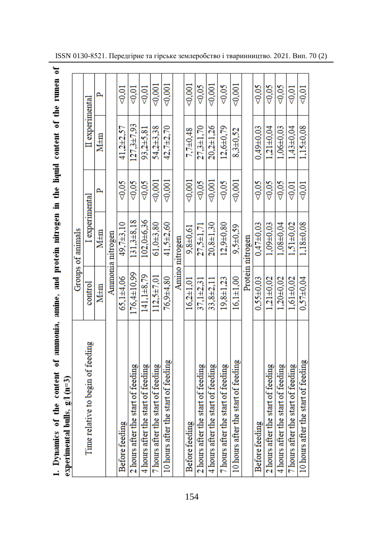| ֖֖֖֖֖ׅ֖ׅ֖֧֚֚֚֚֚֚֚֚֚֚֚֚֚֚֚֚֚֚֚֚֚֚֚֚֡֬֝֝֝֝֝ |                                                                                                                                                                             |
|-------------------------------------------|-----------------------------------------------------------------------------------------------------------------------------------------------------------------------------|
|                                           |                                                                                                                                                                             |
|                                           |                                                                                                                                                                             |
|                                           |                                                                                                                                                                             |
|                                           |                                                                                                                                                                             |
|                                           |                                                                                                                                                                             |
|                                           |                                                                                                                                                                             |
|                                           |                                                                                                                                                                             |
| i                                         |                                                                                                                                                                             |
|                                           |                                                                                                                                                                             |
|                                           |                                                                                                                                                                             |
|                                           |                                                                                                                                                                             |
|                                           |                                                                                                                                                                             |
|                                           |                                                                                                                                                                             |
|                                           | ý                                                                                                                                                                           |
|                                           |                                                                                                                                                                             |
|                                           |                                                                                                                                                                             |
| ֕                                         | $\frac{1}{2}$<br>֖֖֖֖֖֖֖֖֧ׅ֪ׅ֪֪ׅ֧ׅ֪֪֪֪֪֪֪֪ׅ֖֚֚֚֚֚֚֚֚֚֚֚֚֚֚֚֚֚֚֚֚֚֚֚֬֝֓֞֝֬֓֞֓֞֓<br>֖֖֖ׅ֪֧ׅ֧֪ׅ֧֪ׅ֪֧֚֚֚֚֚֚֚֚֚֚֚֚֚֚֚֚֚֚֚֚֚֚֚֚֚֚֚֚֬֡֡֓֡֓֡֓֞֡֓֞֓֡֓֞֬֓֞֓֝֓֞֝֬֓֞֬֝֓֞֝֬֓֞֝֬֝֬֝֬<br>ē |
|                                           |                                                                                                                                                                             |

| experimental bulls, $g/1$ (n=3)     |                   |                       |          |                  |                  |
|-------------------------------------|-------------------|-----------------------|----------|------------------|------------------|
|                                     |                   | Groups of animals     |          |                  |                  |
| Time relative to begin of feeding   | control           | <b>L</b> experimental |          | II experimental  |                  |
|                                     | M±m               | M <sub>±m</sub>       | <b>p</b> | M <sub>tm</sub>  | ൧                |
|                                     |                   | Ammonia nitrogen      |          |                  |                  |
| <b>Before</b> feeding               | $65.1 + 4.06$     | 49.7±3.10             | 80.05    | 41,2±2.57        | 0.01             |
| 2 hours after the start of feeding  | $176.4 \pm 10.99$ | 131,3±8.18            | $0.05$   | $127.3 \pm 7.93$ | $\leq 0.01$      |
| 4 hours after the start of feeding  | 141.1±8.79        | 102,0±6,36            | 0.05     | 93.2±5.81        | $\leq 0.01$      |
| 7 hours after the start of feeding  | $112.5 \pm 7.01$  | $61,0+3,80$           | $-0.001$ | 54,2±3,38        | $-0.001$         |
| 10 hours after the start of feeding | 76,9±4,80         | $41,5+2,60$           | < 0.001  | $42,7+2,70$      | $\lesssim 0.001$ |
|                                     |                   | Amino nitrogen        |          |                  |                  |
| <b>Before</b> feeding               | $16.2 \pm 1.01$   | $9.8 + 0.61$          | 0.001    | $7.7 + 0.48$     | $-0.001$         |
| 2 hours after the start of feeding  | $37,1\pm2,31$     | 27,5±1,71             | 80.05    | $27,3 + 1,70$    | 80.05            |
| 4 hours after the start of feeding  | 33,8±2,11         | $20.8 \pm 1.30$       | $0.001$  | $20.2 \pm 1.26$  | $-0.001$         |
| 7 hours after the start of feeding  | $19,8 \pm 1,23$   | $12.9 + 0.80$         | 0.05     | $12,6\pm0,79$    | 80,05            |
| 10 hours after the start of feeding | $16.1 \pm 1.00$   | $9.5 + 0.59$          | $0.001$  | $8,3 + 0,52$     | $0.001$          |
|                                     |                   | Protein nitrogen      |          |                  |                  |
| Before feeding                      | $0.55 + 0.03$     | $0.47 + 0.03$         | 80.05    | $0.49 + 0.03$    | 80.05            |
| 2 hours after the start of feeding  | $1.21\pm0.02$     | $1.09 + 0.03$         | 0.05     | $1.21 \pm 0.04$  | 80,05            |
| 4 hours after the start of feeding  | $1.20 + 0.02$     | $1.08 + 0.04$         | 80.05    | $1.06 + 0.03$    | 80,05            |
| 7 hours after the start of feeding  | $1.61 \pm 0.02$   | $1.51 \pm 0.02$       | $0.01$   | $1.43 \pm 0.04$  | < 0.01           |
| 10 hours after the start of feeding | $0.57 + 0.04$     | 1.18±0.08             | 80.01    | $1.15 \pm 0.08$  | $-0.01$          |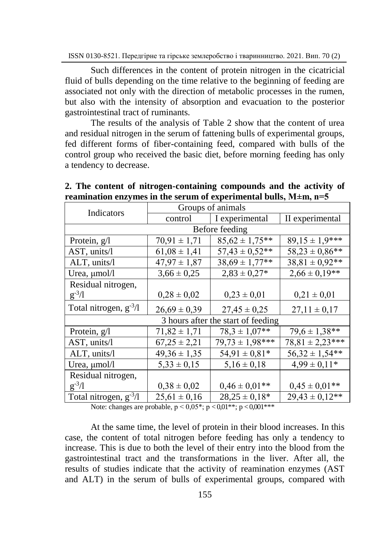Such differences in the content of protein nitrogen in the cicatricial fluid of bulls depending on the time relative to the beginning of feeding are associated not only with the direction of metabolic processes in the rumen, but also with the intensity of absorption and evacuation to the posterior gastrointestinal tract of ruminants.

The results of the analysis of Table 2 show that the content of urea and residual nitrogen in the serum of fattening bulls of experimental groups, fed different forms of fiber-containing feed, compared with bulls of the control group who received the basic diet, before morning feeding has only a tendency to decrease.

|                                    | Groups of animals<br>Indicators |                     |                      |  |  |
|------------------------------------|---------------------------------|---------------------|----------------------|--|--|
|                                    | control                         | I experimental      | II experimental      |  |  |
| Before feeding                     |                                 |                     |                      |  |  |
| Protein, $g/l$                     | $70,91 \pm 1,71$                | $85,62 \pm 1,75**$  | $89.15 \pm 1.9***$   |  |  |
| $AST$ , units/l                    | $61,08 \pm 1,41$                | $57,43 \pm 0,52**$  | $58.23 \pm 0.86$ **  |  |  |
| ALT, units/l                       | $47,97 \pm 1,87$                | $38,69 \pm 1,77$ ** | $38,81 \pm 0.92**$   |  |  |
| Urea, µmol/l                       | $3,66 \pm 0,25$                 | $2,83 \pm 0,27*$    | $2,66 \pm 0,19**$    |  |  |
| Residual nitrogen,                 |                                 |                     |                      |  |  |
| $g^{-3}/l$                         | $0,28 \pm 0,02$                 | $0,23 \pm 0,01$     | $0,21 \pm 0,01$      |  |  |
| Total nitrogen, $g^{-3}/l$         | $26,69 \pm 0,39$                | $27,45 \pm 0,25$    | $27,11 \pm 0,17$     |  |  |
| 3 hours after the start of feeding |                                 |                     |                      |  |  |
| Protein, $g/l$                     | $71,82 \pm 1,71$                | $78.3 \pm 1.07**$   | $79.6 \pm 1.38$ **   |  |  |
| AST, units/l                       | $67,25 \pm 2,21$                | $79.73 \pm 1.98***$ | $78,81 \pm 2,23$ *** |  |  |
| ALT, units/l                       | $49,36 \pm 1,35$                | $54,91 \pm 0,81*$   | $56,32 \pm 1,54**$   |  |  |
| Urea, $\mu$ mol/l                  | $5,33 \pm 0,15$                 | $5,16 \pm 0,18$     | $4.99 \pm 0.11*$     |  |  |
| Residual nitrogen,                 |                                 |                     |                      |  |  |
| $g^{-3}/l$                         | $0.38 \pm 0.02$                 | $0.46 \pm 0.01$ **  | $0.45 \pm 0.01$ **   |  |  |
| Total nitrogen, $g^{-3}/l$         | $25,61 \pm 0,16$                | $28,25 \pm 0,18^*$  | $29.43 \pm 0.12**$   |  |  |

**2. The content of nitrogen-containing compounds and the activity of reamination enzymes in the serum of experimental bulls, М±m, n=5**

Note: changes are probable,  $p < 0.05^*$ ;  $p < 0.01^{**}$ ;  $p < 0.001^{***}$ 

At the same time, the level of protein in their blood increases. In this case, the content of total nitrogen before feeding has only a tendency to increase. This is due to both the level of their entry into the blood from the gastrointestinal tract and the transformations in the liver. After all, the results of studies indicate that the activity of reamination enzymes (AST and ALT) in the serum of bulls of experimental groups, compared with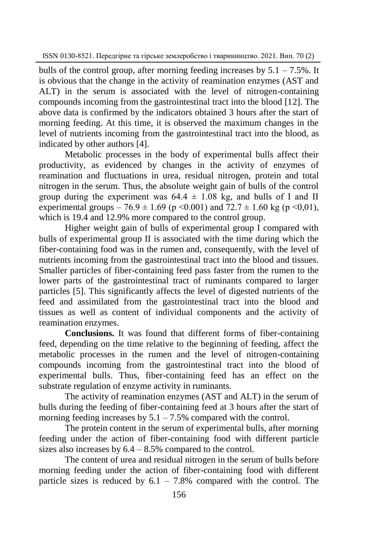bulls of the control group, after morning feeding increases by  $5.1 - 7.5\%$ . It is obvious that the change in the activity of reamination enzymes (AST and ALT) in the serum is associated with the level of nitrogen-containing compounds incoming from the gastrointestinal tract into the blood [12]. The above data is confirmed by the indicators obtained 3 hours after the start of morning feeding. At this time, it is observed the maximum changes in the level of nutrients incoming from the gastrointestinal tract into the blood, as indicated by other authors [4].

Metabolic processes in the body of experimental bulls affect their productivity, as evidenced by changes in the activity of enzymes of reamination and fluctuations in urea, residual nitrogen, protein and total nitrogen in the serum. Thus, the absolute weight gain of bulls of the control group during the experiment was  $64.4 \pm 1.08$  kg, and bulls of I and II experimental groups – 76.9  $\pm$  1.69 (p <0.001) and 72.7  $\pm$  1.60 kg (p <0.01), which is 19.4 and 12.9% more compared to the control group.

Higher weight gain of bulls of experimental group I compared with bulls of experimental group II is associated with the time during which the fiber-containing food was in the rumen and, consequently, with the level of nutrients incoming from the gastrointestinal tract into the blood and tissues. Smaller particles of fiber-containing feed pass faster from the rumen to the lower parts of the gastrointestinal tract of ruminants compared to larger particles [5]. This significantly affects the level of digested nutrients of the feed and assimilated from the gastrointestinal tract into the blood and tissues as well as content of individual components and the activity of reamination enzymes.

**Conclusions.** It was found that different forms of fiber-containing feed, depending on the time relative to the beginning of feeding, affect the metabolic processes in the rumen and the level of nitrogen-containing compounds incoming from the gastrointestinal tract into the blood of experimental bulls. Thus, fiber-containing feed has an effect on the substrate regulation of enzyme activity in ruminants.

The activity of reamination enzymes (AST and ALT) in the serum of bulls during the feeding of fiber-containing feed at 3 hours after the start of morning feeding increases by  $5.1 - 7.5\%$  compared with the control.

The protein content in the serum of experimental bulls, after morning feeding under the action of fiber-containing food with different particle sizes also increases by  $6.4 - 8.5\%$  compared to the control.

The content of urea and residual nitrogen in the serum of bulls before morning feeding under the action of fiber-containing food with different particle sizes is reduced by  $6.1 - 7.8\%$  compared with the control. The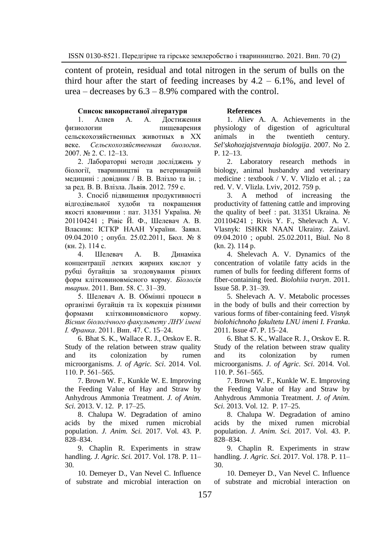content of protein, residual and total nitrogen in the serum of bulls on the third hour after the start of feeding increases by  $4.2 - 6.1\%$ , and level of  $u$ rea – decreases by  $6.3 - 8.9\%$  compared with the control.

### **Список використаної літератури**

1. Алиев А. А. Достижения физиологии пищеварения сельскохозяйственных животных в ХХ веке. *Сельскохозяйственная биология*. 2007. № 2. С. 12–13.

2. Лабораторні методи досліджень у біології, тваринництві та ветеринарній медицині : довідник / В. В. Влізло та ін. ; за ред. В. В. Влізла. Львів. 2012. 759 с.

3. Спосіб підвищення продуктивності відгодівельної худоби та покращення якості яловичини : пат. 31351 Україна. № 201104241 ; Рівіс Й. Ф., Шелевач А. В. Власник: ІСГКР НAАН України. Заявл. 09.04.2010 ; опубл. 25.02.2011, Бюл. № 8 (кн. 2). 114 с.

4. Шелевач А. В. Динаміка концентрації летких жирних кислот у рубці бугайців за згодовування різних форм клітковиновмісного корму. *Біологія тварин*. 2011. Вип. 58. С. 31–39.

5. Шелевач А. В. Обмінні процеси в організмі бугайців та їх корекція різними формами клітковиновмісного корму. *Вісник біологічного факультету ЛНУ імені І. Франка*. 2011. Вип. 47. С. 15–24.

6. Bhat S. K., Wallace R. J., Orskov E. R. Study of the relation between straw quality and its colonization by rumen microorganisms. *J. of Agric. Sci*. 2014. Vol. 110. Р. 561–565.

7. Brown W. F., Kunkle W. E. Improving the Feeding Value of Hay and Straw by Anhydrous Ammonia Treatment. *J. of Anim. Sci.* 2013. V. 12. P. 17–25.

8. Chalupa W. Degradation of amino acids by the mixed rumen microbial population. *J. Anim. Sci.* 2017. Vol. 43. P. 828–834.

9. Chaplin R. Experiments in straw handling. *J. Agric. Sci.* 2017. Vol. 178. P. 11– 30.

10. Demeyer D., Van Nevel C. Influence of substrate and microbial interaction on

### **References**

1. Aliev A. A. Achievements in the physiology of digestion of agricultural animals in the twentieth century. *Sel'skohozjajstvennaja biologija*. 2007. No 2. P. 12–13.

2. Laboratory research methods in biology, animal husbandry and veterinary medicine : textbook / V. V. Vlizlo et al. ; za red. V. V. Vlizla. Lviv, 2012. 759 p.

3. A method of increasing the productivity of fattening cattle and improving the quality of beef : pat. 31351 Ukraina. № 201104241 ; Rivis Y. F., Shelevach A. V. Vlasnyk: ISHKR NAAN Ukrainy. Zaiavl. 09.04.2010 ; оpubl. 25.02.2011, Biul. No 8 (kn. 2). 114 p.

4. Shelevach A. V. Dynamics of the concentration of volatile fatty acids in the rumen of bulls for feeding different forms of fiber-containing feed. *Biolohiia tvaryn*. 2011. Issue 58. P. 31–39.

5. Shelevach A. V. Metabolic processes in the body of bulls and their correction by various forms of fiber-containing feed. *Visnyk biolohichnoho fakultetu LNU imeni I. Franka*. 2011. Issue 47. P. 15–24.

6. Bhat S. K., Wallace R. J., Orskov E. R. Study of the relation between straw quality and its colonization by rumen microorganisms. *J. of Agric. Sci*. 2014. Vol. 110. Р. 561–565.

7. Brown W. F., Kunkle W. E. Improving the Feeding Value of Hay and Straw by Anhydrous Ammonia Treatment. *J. of Anim. Sci.* 2013. Vol. 12. P. 17–25.

8. Chalupa W. Degradation of amino acids by the mixed rumen microbial population. *J. Anim. Sci.* 2017. Vol. 43. P. 828–834.

9. Chaplin R. Experiments in straw handling. *J. Agric. Sci.* 2017. Vol. 178. P. 11– 30.

10. Demeyer D., Van Nevel C. Influence of substrate and microbial interaction on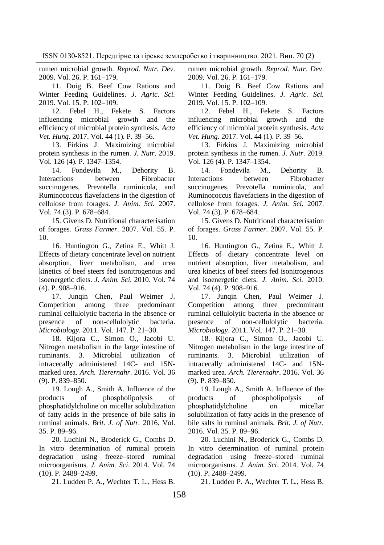rumen microbial growth. *Reprod. Nutr. Dev*. 2009. Vol. 26. P. 161–179.

11. Doig B. Beef Cow Rations and Winter Feeding Guidelines. *J. Agric. Sci.* 2019. Vol. 15. P. 102–109.

12. Febel H., Fekete S. Factors influencing microbial growth and the efficiency of microbial protein synthesis. *Acta Vet. Hung.* 2017. Vol. 44 (1). P. 39–56.

13. Firkins J. Maximizing microbial protein synthesis in the rumen. *J. Nutr*. 2019. Vol. 126 (4). P. 1347–1354.

14. Fondevila M., Dehority B. Interactions between Fibrobacter succinogenes, Prevotella ruminicola, and Ruminococcus flavefaciens in the digestion of cellulose from forages. *J. Anim. Sci.* 2007. Vol. 74 (3). P. 678–684.

15. Givens D. Nutritional characterisation of forages. *Grass Farmer*. 2007. Vol. 55. P. 10.

16. Huntington G., Zetina E., Whitt J. Effects of dietary concentrate level on nutrient absorption, liver metabolism, and urea kinetics of beef steers fed isonitrogenous and isoenergetic diets. *J. Anim. Sci.* 2010. Vol. 74 (4). P. 908–916.

17. Junqin Chen, Paul Weimer J. Competition among three predominant ruminal cellulolytic bacteria in the absence or presence of non-cellulolytic bacteria. *Microbiology*. 2011. Vol. 147. Р. 21–30.

18. Kijora C., Simon O., Jacobi U. Nitrogen metabolism in the large intestine of ruminants. 3. Microbial utilization of intracecally administered 14C- and 15Nmarked urea. *Arch. Tierernahr*. 2016. Vol. 36 (9). P. 839–850.

19. Lough A., Smith A. Influence of the products of phospholipolysis of phosphatidylcholine on micellar solubilization of fatty acids in the presence of bile salts in ruminal animals. *Brit. J. of Nutr.* 2016. Vol. 35. P. 89–96.

20. Luchini N., Broderick G., Combs D. In vitro determination of ruminal protein degradation using freeze–stored ruminal microorganisms. *J. Anim. Sci*. 2014. Vol. 74 (10). P. 2488–2499.

21. Ludden P. A., Wechter T. L., Hess B.

rumen microbial growth. *Reprod. Nutr. Dev*. 2009. Vol. 26. P. 161–179.

11. Doig B. Beef Cow Rations and Winter Feeding Guidelines. *J. Agric. Sci.* 2019. Vol. 15. P. 102–109.

12. Febel H., Fekete S. Factors influencing microbial growth and the efficiency of microbial protein synthesis. *Acta Vet. Hung.* 2017. Vol. 44 (1). P. 39–56.

13. Firkins J. Maximizing microbial protein synthesis in the rumen. *J. Nutr*. 2019. Vol. 126 (4). P. 1347–1354.

14. Fondevila M., Dehority B. Interactions between Fibrobacter succinogenes, Prevotella ruminicola, and Ruminococcus flavefaciens in the digestion of cellulose from forages. *J. Anim. Sci.* 2007. Vol. 74 (3). P. 678–684.

15. Givens D. Nutritional characterisation of forages. *Grass Farmer*. 2007. Vol. 55. P. 10.

16. Huntington G., Zetina E., Whitt J. Effects of dietary concentrate level on nutrient absorption, liver metabolism, and urea kinetics of beef steers fed isonitrogenous and isoenergetic diets. *J. Anim. Sci.* 2010. Vol. 74 (4). P. 908–916.

17. Junqin Chen, Paul Weimer J. Competition among three predominant ruminal cellulolytic bacteria in the absence or presence of non-cellulolytic bacteria. *Microbiology*. 2011. Vol. 147. Р. 21–30.

18. Kijora C., Simon O., Jacobi U. Nitrogen metabolism in the large intestine of ruminants. 3. Microbial utilization of intracecally administered 14C- and 15Nmarked urea. *Arch. Tierernahr*. 2016. Vol. 36 (9). P. 839–850.

19. Lough A., Smith A. Influence of the products of phospholipolysis of phosphatidylcholine on micellar solubilization of fatty acids in the presence of bile salts in ruminal animals. *Brit. J. of Nutr.*  2016. Vol. 35. P. 89–96.

20. Luchini N., Broderick G., Combs D. In vitro determination of ruminal protein degradation using freeze–stored ruminal microorganisms. *J. Anim. Sci*. 2014. Vol. 74 (10). P. 2488–2499.

21. Ludden P. A., Wechter T. L., Hess B.